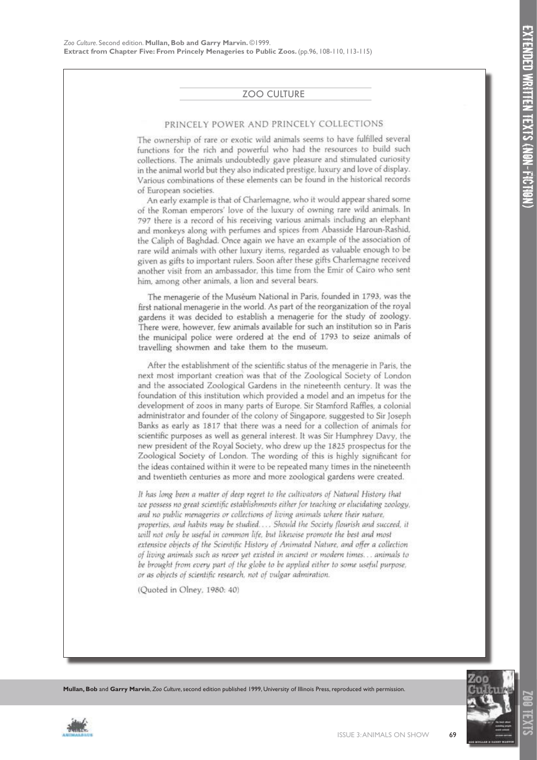## PRINCELY POWER AND PRINCELY COLLECTIONS

The ownership of rare or exotic wild animals seems to have fulfilled several functions for the rich and powerful who had the resources to build such collections. The animals undoubtedly gave pleasure and stimulated curiosity in the animal world but they also indicated prestige, luxury and love of display. Various combinations of these elements can be found in the historical records of European societies.

An early example is that of Charlemagne, who it would appear shared some of the Roman emperors' love of the luxury of owning rare wild animals. In 797 there is a record of his receiving various animals including an elephant and monkeys along with perfumes and spices from Abasside Haroun-Rashid, the Caliph of Baghdad. Once again we have an example of the association of rare wild animals with other luxury items, regarded as valuable enough to be given as gifts to important rulers. Soon after these gifts Charlemagne received another visit from an ambassador, this time from the Emir of Cairo who sent him, among other animals, a lion and several bears.

The menagerie of the Muséum National in Paris, founded in 1793, was the first national menagerie in the world. As part of the reorganization of the royal gardens it was decided to establish a menagerie for the study of zoology. There were, however, few animals available for such an institution so in Paris the municipal police were ordered at the end of 1793 to seize animals of travelling showmen and take them to the museum.

After the establishment of the scientific status of the menagerie in Paris, the next most important creation was that of the Zoological Society of London and the associated Zoological Gardens in the nineteenth century. It was the foundation of this institution which provided a model and an impetus for the development of zoos in many parts of Europe. Sir Stamford Raffles, a colonial administrator and founder of the colony of Singapore, suggested to Sir Joseph Banks as early as 1817 that there was a need for a collection of animals for scientific purposes as well as general interest. It was Sir Humphrey Davy, the new president of the Royal Society, who drew up the 1825 prospectus for the Zoological Society of London. The wording of this is highly significant for the ideas contained within it were to be repeated many times in the nineteenth and twentieth centuries as more and more zoological gardens were created.

It has long been a matter of deep regret to the cultivators of Natural History that we possess no great scientific establishments either for teaching or elucidating zoology, and no public menageries or collections of living animals where their nature, properties, and habits may be studied.... Should the Society flourish and succeed, it will not only be useful in common life, but likewise promote the best and most extensive objects of the Scientific History of Animated Nature, and offer a collection of living animals such as never yet existed in ancient or modern times... animals to be brought from every part of the globe to be applied either to some useful purpose, or as objects of scientific research, not of vulgar admiration.

(Ouoted in Olney, 1980: 40)



zoo texts



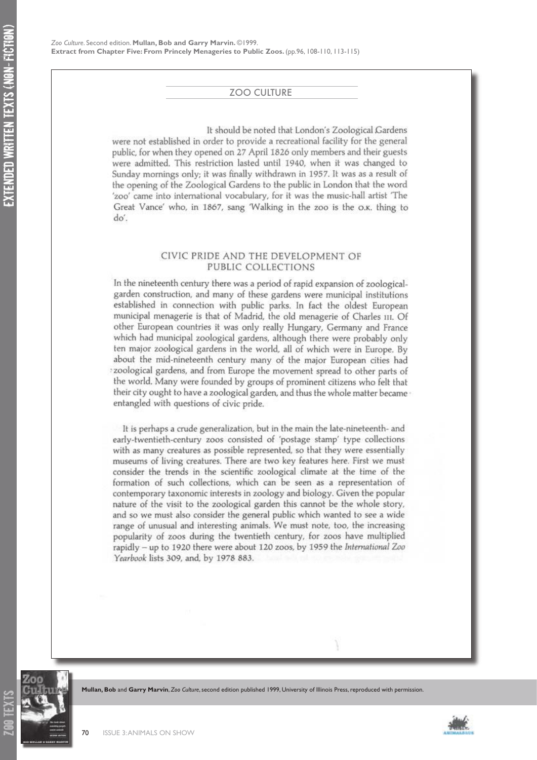It should be noted that London's Zoological Gardens were not established in order to provide a recreational facility for the general public, for when they opened on 27 April 1826 only members and their guests were admitted. This restriction lasted until 1940, when it was changed to Sunday mornings only; it was finally withdrawn in 1957. It was as a result of the opening of the Zoological Gardens to the public in London that the word 'zoo' came into international vocabulary, for it was the music-hall artist 'The Great Vance' who, in 1867, sang 'Walking in the zoo is the o.k. thing to do'.

#### CIVIC PRIDE AND THE DEVELOPMENT OF PUBLIC COLLECTIONS

In the nineteenth century there was a period of rapid expansion of zoologicalgarden construction, and many of these gardens were municipal institutions established in connection with public parks. In fact the oldest European municipal menagerie is that of Madrid, the old menagerie of Charles III. Of other European countries it was only really Hungary, Germany and France which had municipal zoological gardens, although there were probably only ten major zoological gardens in the world, all of which were in Europe. By about the mid-nineteenth century many of the major European cities had 'zoological gardens, and from Europe the movement spread to other parts of the world. Many were founded by groups of prominent citizens who felt that their city ought to have a zoological garden, and thus the whole matter became entangled with questions of civic pride.

It is perhaps a crude generalization, but in the main the late-nineteenth- and early-twentieth-century zoos consisted of 'postage stamp' type collections with as many creatures as possible represented, so that they were essentially museums of living creatures. There are two key features here. First we must consider the trends in the scientific zoological climate at the time of the formation of such collections, which can be seen as a representation of contemporary taxonomic interests in zoology and biology. Given the popular nature of the visit to the zoological garden this cannot be the whole story, and so we must also consider the general public which wanted to see a wide range of unusual and interesting animals. We must note, too, the increasing popularity of zoos during the twentieth century, for zoos have multiplied rapidly - up to 1920 there were about 120 zoos, by 1959 the International Zoo Yearbook lists 309, and, by 1978 883.



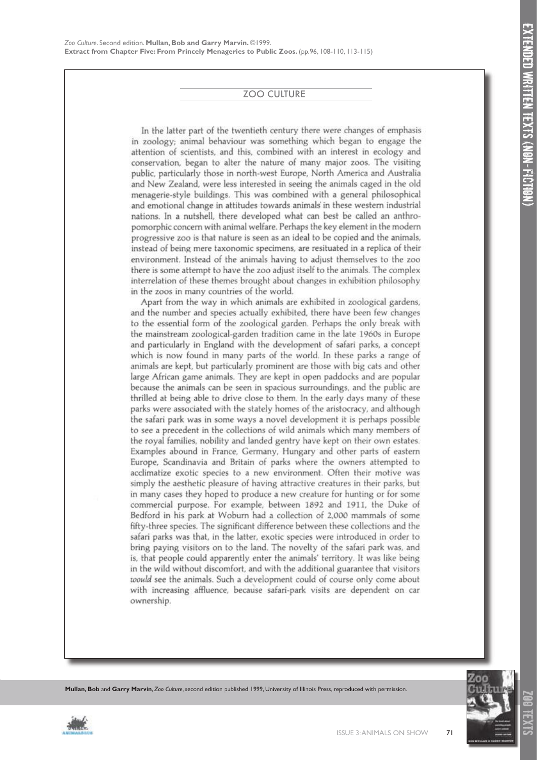In the latter part of the twentieth century there were changes of emphasis in zoology; animal behaviour was something which began to engage the attention of scientists, and this, combined with an interest in ecology and conservation, began to alter the nature of many major zoos. The visiting public, particularly those in north-west Europe, North America and Australia and New Zealand, were less interested in seeing the animals caged in the old menagerie-style buildings. This was combined with a general philosophical and emotional change in attitudes towards animals in these western industrial nations. In a nutshell, there developed what can best be called an anthropomorphic concern with animal welfare. Perhaps the key element in the modern progressive zoo is that nature is seen as an ideal to be copied and the animals, instead of being mere taxonomic specimens, are resituated in a replica of their environment. Instead of the animals having to adjust themselves to the zoo there is some attempt to have the zoo adjust itself to the animals. The complex interrelation of these themes brought about changes in exhibition philosophy in the zoos in many countries of the world.

Apart from the way in which animals are exhibited in zoological gardens, and the number and species actually exhibited, there have been few changes to the essential form of the zoological garden. Perhaps the only break with the mainstream zoological-garden tradition came in the late 1960s in Europe and particularly in England with the development of safari parks, a concept which is now found in many parts of the world. In these parks a range of animals are kept, but particularly prominent are those with big cats and other large African game animals. They are kept in open paddocks and are popular because the animals can be seen in spacious surroundings, and the public are thrilled at being able to drive close to them. In the early days many of these parks were associated with the stately homes of the aristocracy, and although the safari park was in some ways a novel development it is perhaps possible to see a precedent in the collections of wild animals which many members of the royal families, nobility and landed gentry have kept on their own estates. Examples abound in France, Germany, Hungary and other parts of eastern Europe, Scandinavia and Britain of parks where the owners attempted to acclimatize exotic species to a new environment. Often their motive was simply the aesthetic pleasure of having attractive creatures in their parks, but in many cases they hoped to produce a new creature for hunting or for some commercial purpose. For example, between 1892 and 1911, the Duke of Bedford in his park at Woburn had a collection of 2,000 mammals of some fifty-three species. The significant difference between these collections and the safari parks was that, in the latter, exotic species were introduced in order to bring paying visitors on to the land. The novelty of the safari park was, and is, that people could apparently enter the animals' territory. It was like being in the wild without discomfort, and with the additional guarantee that visitors would see the animals. Such a development could of course only come about with increasing affluence, because safari-park visits are dependent on car ownership.





zoo texts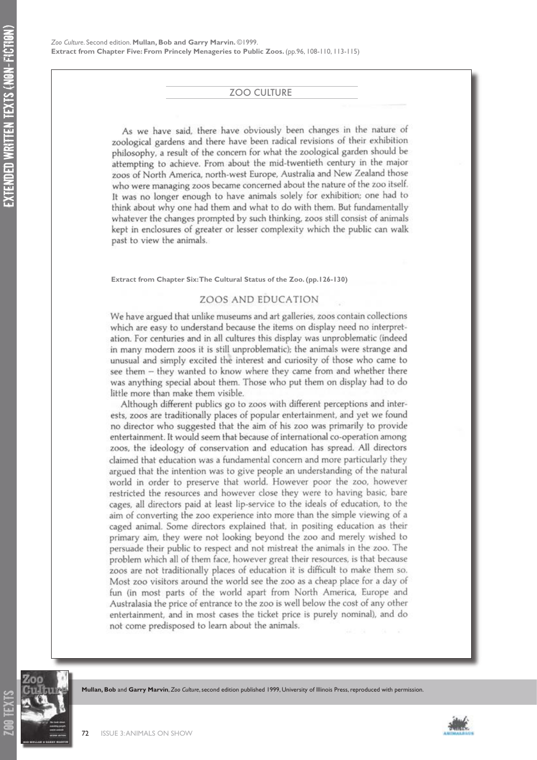As we have said, there have obviously been changes in the nature of zoological gardens and there have been radical revisions of their exhibition philosophy, a result of the concern for what the zoological garden should be attempting to achieve. From about the mid-twentieth century in the major zoos of North America, north-west Europe, Australia and New Zealand those who were managing zoos became concerned about the nature of the zoo itself. It was no longer enough to have animals solely for exhibition; one had to think about why one had them and what to do with them. But fundamentally whatever the changes prompted by such thinking, zoos still consist of animals kept in enclosures of greater or lesser complexity which the public can walk past to view the animals.

**Extract from Chapter Six: The Cultural Status of the Zoo. (pp.126-130)**

#### **ZOOS AND EDUCATION**

We have argued that unlike museums and art galleries, zoos contain collections which are easy to understand because the items on display need no interpretation. For centuries and in all cultures this display was unproblematic (indeed in many modern zoos it is still unproblematic); the animals were strange and unusual and simply excited the interest and curiosity of those who came to see them - they wanted to know where they came from and whether there was anything special about them. Those who put them on display had to do little more than make them visible.

Although different publics go to zoos with different perceptions and interests, zoos are traditionally places of popular entertainment, and yet we found no director who suggested that the aim of his zoo was primarily to provide entertainment. It would seem that because of international co-operation among zoos, the ideology of conservation and education has spread. All directors claimed that education was a fundamental concern and more particularly they argued that the intention was to give people an understanding of the natural world in order to preserve that world. However poor the zoo, however restricted the resources and however close they were to having basic, bare cages, all directors paid at least lip-service to the ideals of education, to the aim of converting the zoo experience into more than the simple viewing of a caged animal. Some directors explained that, in positing education as their primary aim, they were not looking beyond the zoo and merely wished to persuade their public to respect and not mistreat the animals in the zoo. The problem which all of them face, however great their resources, is that because zoos are not traditionally places of education it is difficult to make them so. Most zoo visitors around the world see the zoo as a cheap place for a day of fun (in most parts of the world apart from North America, Europe and Australasia the price of entrance to the zoo is well below the cost of any other entertainment, and in most cases the ticket price is purely nominal), and do not come predisposed to learn about the animals.



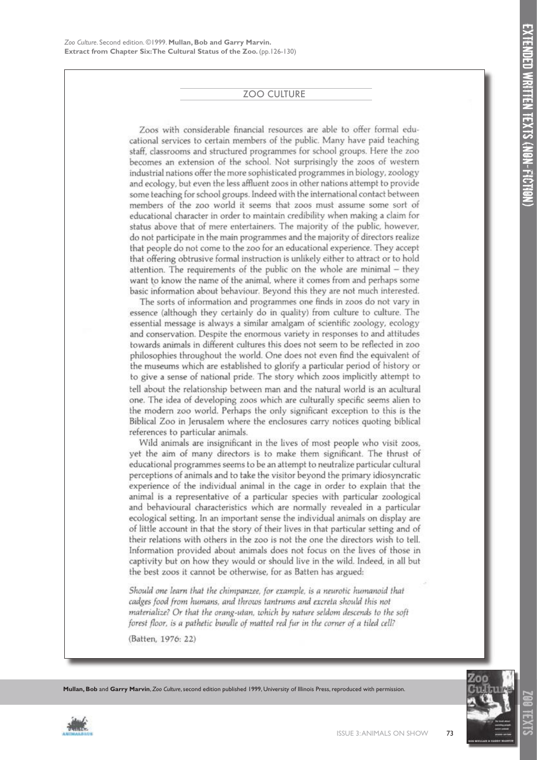Zoos with considerable financial resources are able to offer formal educational services to certain members of the public. Many have paid teaching staff, classrooms and structured programmes for school groups. Here the zoo becomes an extension of the school. Not surprisingly the zoos of western industrial nations offer the more sophisticated programmes in biology, zoology and ecology, but even the less affluent zoos in other nations attempt to provide some teaching for school groups. Indeed with the international contact between members of the zoo world it seems that zoos must assume some sort of educational character in order to maintain credibility when making a claim for status above that of mere entertainers. The majority of the public, however, do not participate in the main programmes and the majority of directors realize that people do not come to the zoo for an educational experience. They accept that offering obtrusive formal instruction is unlikely either to attract or to hold attention. The requirements of the public on the whole are minimal  $-$  they want to know the name of the animal, where it comes from and perhaps some basic information about behaviour. Beyond this they are not much interested.

The sorts of information and programmes one finds in zoos do not vary in essence (although they certainly do in quality) from culture to culture. The essential message is always a similar amalgam of scientific zoology, ecology and conservation. Despite the enormous variety in responses to and attitudes towards animals in different cultures this does not seem to be reflected in zoo philosophies throughout the world. One does not even find the equivalent of the museums which are established to glorify a particular period of history or to give a sense of national pride. The story which zoos implicitly attempt to tell about the relationship between man and the natural world is an acultural one. The idea of developing zoos which are culturally specific seems alien to the modern zoo world. Perhaps the only significant exception to this is the Biblical Zoo in Jerusalem where the enclosures carry notices quoting biblical references to particular animals.

Wild animals are insignificant in the lives of most people who visit zoos, yet the aim of many directors is to make them significant. The thrust of educational programmes seems to be an attempt to neutralize particular cultural perceptions of animals and to take the visitor beyond the primary idiosyncratic experience of the individual animal in the cage in order to explain that the animal is a representative of a particular species with particular zoological and behavioural characteristics which are normally revealed in a particular ecological setting. In an important sense the individual animals on display are of little account in that the story of their lives in that particular setting and of their relations with others in the zoo is not the one the directors wish to tell. Information provided about animals does not focus on the lives of those in captivity but on how they would or should live in the wild. Indeed, in all but the best zoos it cannot be otherwise, for as Batten has argued:

Should one learn that the chimpanzee, for example, is a neurotic humanoid that cadges food from humans, and throws tantrums and excreta should this not materialize? Or that the orang-utan, which by nature seldom descends to the soft forest floor, is a pathetic bundle of matted red fur in the corner of a tiled cell?

(Batten, 1976: 22)



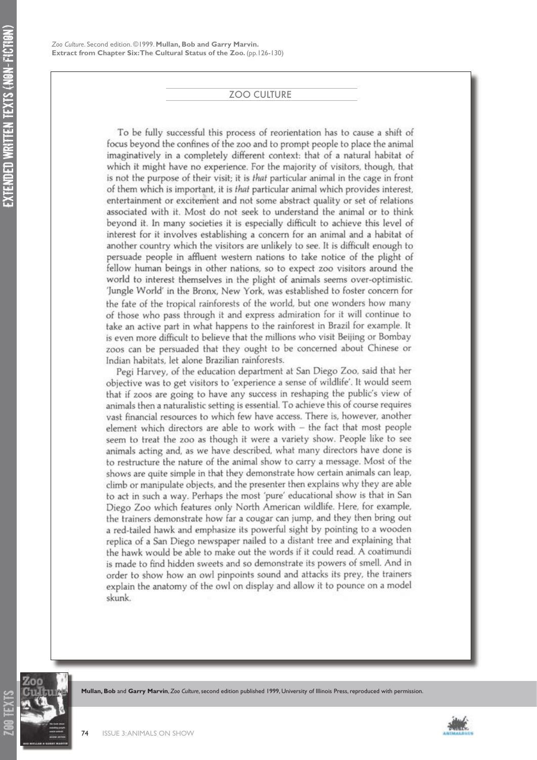*Zoo Culture*. Second edition. ©1999. **Mullan, Bob and Garry Marvin. Extract from Chapter Six: The Cultural Status of the Zoo.** (pp.126-130)

### ZOO CULTURE

To be fully successful this process of reorientation has to cause a shift of focus beyond the confines of the zoo and to prompt people to place the animal imaginatively in a completely different context: that of a natural habitat of which it might have no experience. For the majority of visitors, though, that is not the purpose of their visit; it is that particular animal in the cage in front of them which is important, it is *that* particular animal which provides interest, entertainment or excitement and not some abstract quality or set of relations associated with it. Most do not seek to understand the animal or to think beyond it. In many societies it is especially difficult to achieve this level of interest for it involves establishing a concern for an animal and a habitat of another country which the visitors are unlikely to see. It is difficult enough to persuade people in affluent western nations to take notice of the plight of fellow human beings in other nations, so to expect zoo visitors around the world to interest themselves in the plight of animals seems over-optimistic. 'Jungle World' in the Bronx, New York, was established to foster concern for the fate of the tropical rainforests of the world, but one wonders how many of those who pass through it and express admiration for it will continue to take an active part in what happens to the rainforest in Brazil for example. It is even more difficult to believe that the millions who visit Beijing or Bombay zoos can be persuaded that they ought to be concerned about Chinese or Indian habitats, let alone Brazilian rainforests.

Pegi Harvey, of the education department at San Diego Zoo, said that her objective was to get visitors to 'experience a sense of wildlife'. It would seem that if zoos are going to have any success in reshaping the public's view of animals then a naturalistic setting is essential. To achieve this of course requires vast financial resources to which few have access. There is, however, another element which directors are able to work with - the fact that most people seem to treat the zoo as though it were a variety show. People like to see animals acting and, as we have described, what many directors have done is to restructure the nature of the animal show to carry a message. Most of the shows are quite simple in that they demonstrate how certain animals can leap, climb or manipulate objects, and the presenter then explains why they are able to act in such a way. Perhaps the most 'pure' educational show is that in San Diego Zoo which features only North American wildlife. Here, for example, the trainers demonstrate how far a cougar can jump, and they then bring out a red-tailed hawk and emphasize its powerful sight by pointing to a wooden replica of a San Diego newspaper nailed to a distant tree and explaining that the hawk would be able to make out the words if it could read. A coatimundi is made to find hidden sweets and so demonstrate its powers of smell. And in order to show how an owl pinpoints sound and attacks its prey, the trainers explain the anatomy of the owl on display and allow it to pounce on a model skunk.



**Mullan, Bob** and **Garry Marvin**, *Zoo Culture*, second edition published 1999, University of Illinois Press, reproduced with permission.

extended written textS (non-fiction)

EXTENDED WRITTEN TEXTS (NON-FICTION)

74 ISSUE 3: ANIMALS ON SHOW